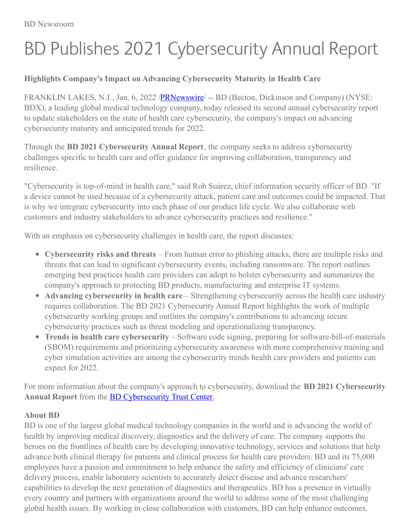## BD Publishes 2021 Cybersecurity Annual Report

## **Highlights Company's Impact on Advancing Cybersecurity Maturity in Health Care**

FRANKLIN LAKES, N.J., Jan. 6, 2022 /**PRNewswire/** -- BD (Becton, Dickinson and Company) (NYSE: BDX), a leading global medical technology company, today released its second annual cybersecurity report to update stakeholders on the state of health care cybersecurity, the company's impact on advancing cybersecurity maturity and anticipated trends for 2022.

Through the **BD 2021 Cybersecurity Annual Report**, the company seeks to address cybersecurity challenges specific to health care and offer guidance for improving collaboration, transparency and resilience.

"Cybersecurity is top-of-mind in health care," said Rob Suárez, chief information security officer of BD. "If a device cannot be used because of a cybersecurity attack, patient care and outcomes could be impacted. That is why we integrate cybersecurity into each phase of our product life cycle. We also collaborate with customers and industry stakeholders to advance cybersecurity practices and resilience."

With an emphasis on cybersecurity challenges in health care, the report discusses:

- **Cybersecurity risks and threats** From human error to phishing attacks, there are multiple risks and threats that can lead to significant cybersecurity events, including ransomware. The report outlines emerging best practices health care providers can adopt to bolster cybersecurity and summarizes the company's approach to protecting BD products, manufacturing and enterprise IT systems.
- **Advancing cybersecurity in health care** Strengthening cybersecurity across the health care industry requires collaboration. The BD 2021 Cybersecurity Annual Report highlights the work of multiple cybersecurity working groups and outlines the company's contributions to advancing secure cybersecurity practices such as threat modeling and operationalizing transparency.
- **Trends in health care cybersecurity** Software code signing, preparing for software-bill-of-materials (SBOM) requirements and prioritizing cybersecurity awareness with more comprehensive training and cyber simulation activities are among the cybersecurity trends health care providers and patients can expect for 2022.

For more information about the company's approach to cybersecurity, download the **BD 2021 Cybersecurity Annual Report** from the BD [Cybersecurity](https://c212.net/c/link/?t=0&l=en&o=3405015-1&h=201599176&u=https%3A%2F%2Fcybersecurity.bd.com%2Fhelpful-resources&a=BD+Cybersecurity+Trust+Center) Trust Center.

## **About BD**

BD is one of the largest global medical technology companies in the world and is advancing the world of health by improving medical discovery, diagnostics and the delivery of care. The company supports the heroes on the frontlines of health care by developing innovative technology, services and solutions that help advance both clinical therapy for patients and clinical process for health care providers. BD and its 75,000 employees have a passion and commitment to help enhance the safety and efficiency of clinicians' care delivery process, enable laboratory scientists to accurately detect disease and advance researchers' capabilities to develop the next generation of diagnostics and therapeutics. BD has a presence in virtually every country and partners with organizations around the world to address some of the most challenging global health issues. By working in close collaboration with customers, BD can help enhance outcomes,